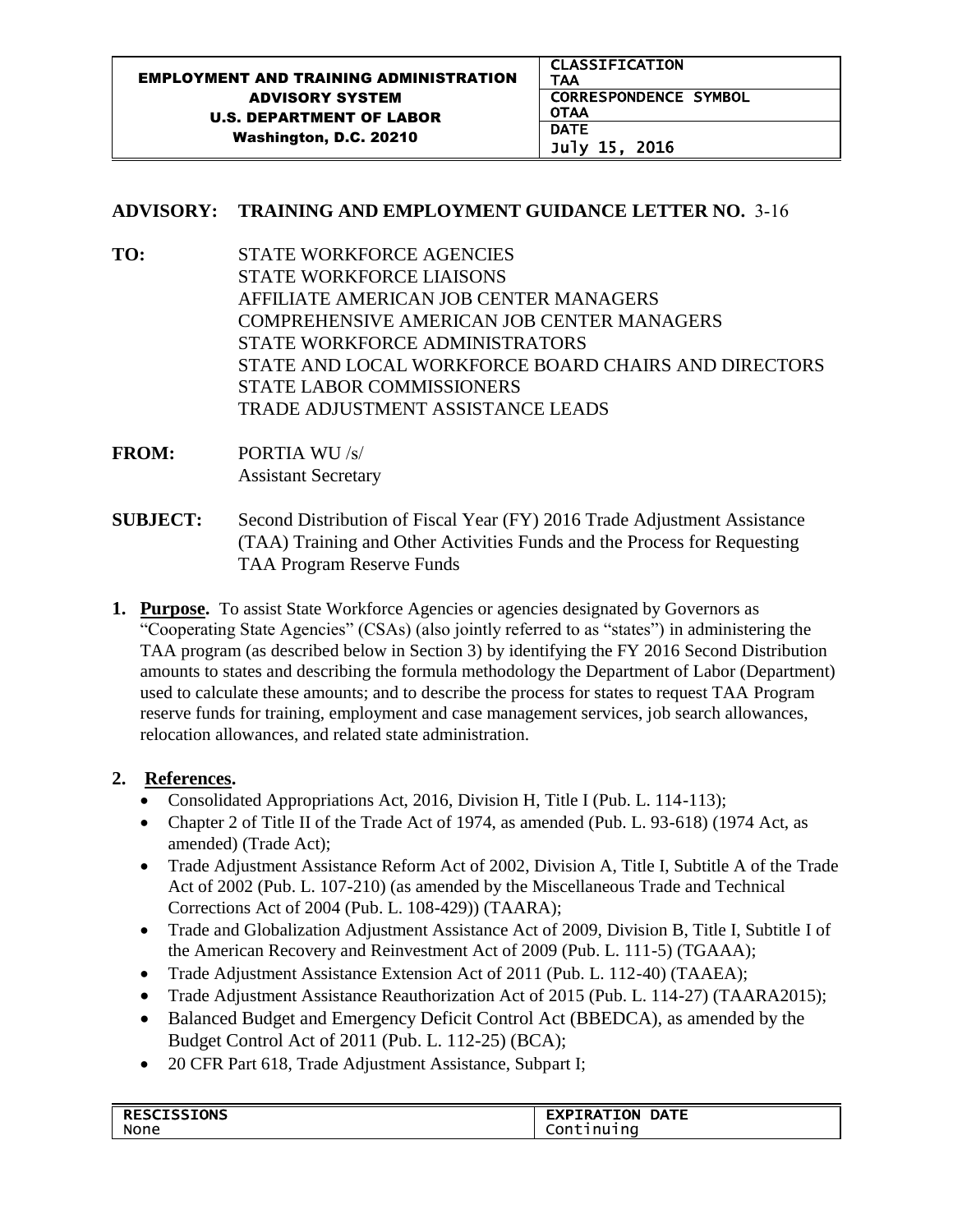## **ADVISORY: TRAINING AND EMPLOYMENT GUIDANCE LETTER NO.** 3-16

- **TO:** STATE WORKFORCE AGENCIES STATE WORKFORCE LIAISONS AFFILIATE AMERICAN JOB CENTER MANAGERS COMPREHENSIVE AMERICAN JOB CENTER MANAGERS STATE WORKFORCE ADMINISTRATORS STATE AND LOCAL WORKFORCE BOARD CHAIRS AND DIRECTORS STATE LABOR COMMISSIONERS TRADE ADJUSTMENT ASSISTANCE LEADS
- **FROM:** PORTIA WU /s/ Assistant Secretary
- **SUBJECT:** Second Distribution of Fiscal Year (FY) 2016 Trade Adjustment Assistance (TAA) Training and Other Activities Funds and the Process for Requesting TAA Program Reserve Funds
- **1. Purpose.** To assist State Workforce Agencies or agencies designated by Governors as "Cooperating State Agencies" (CSAs) (also jointly referred to as "states") in administering the TAA program (as described below in Section 3) by identifying the FY 2016 Second Distribution amounts to states and describing the formula methodology the Department of Labor (Department) used to calculate these amounts; and to describe the process for states to request TAA Program reserve funds for training, employment and case management services, job search allowances, relocation allowances, and related state administration.

## **2. References.**

- Consolidated Appropriations Act, 2016, Division H, Title I (Pub. L. 114-113);
- Chapter 2 of Title II of the Trade Act of 1974, as amended (Pub. L. 93-618) (1974 Act, as amended) (Trade Act);
- Trade Adjustment Assistance Reform Act of 2002, Division A, Title I, Subtitle A of the Trade Act of 2002 (Pub. L. 107-210) (as amended by the Miscellaneous Trade and Technical Corrections Act of 2004 (Pub. L. 108-429)) (TAARA);
- Trade and Globalization Adjustment Assistance Act of 2009, Division B, Title I, Subtitle I of the American Recovery and Reinvestment Act of 2009 (Pub. L. 111-5) (TGAAA);
- Trade Adjustment Assistance Extension Act of 2011 (Pub. L. 112-40) (TAAEA);
- Trade Adjustment Assistance Reauthorization Act of 2015 (Pub. L. 114-27) (TAARA2015);
- Balanced Budget and Emergency Deficit Control Act (BBEDCA), as amended by the Budget Control Act of 2011 (Pub. L. 112-25) (BCA);
- 20 CFR Part 618, Trade Adjustment Assistance, Subpart I;

| <b>RESCISSIONS</b> | <b>EXPIRATION</b><br><b>DATE</b> |
|--------------------|----------------------------------|
| None               | Continuing                       |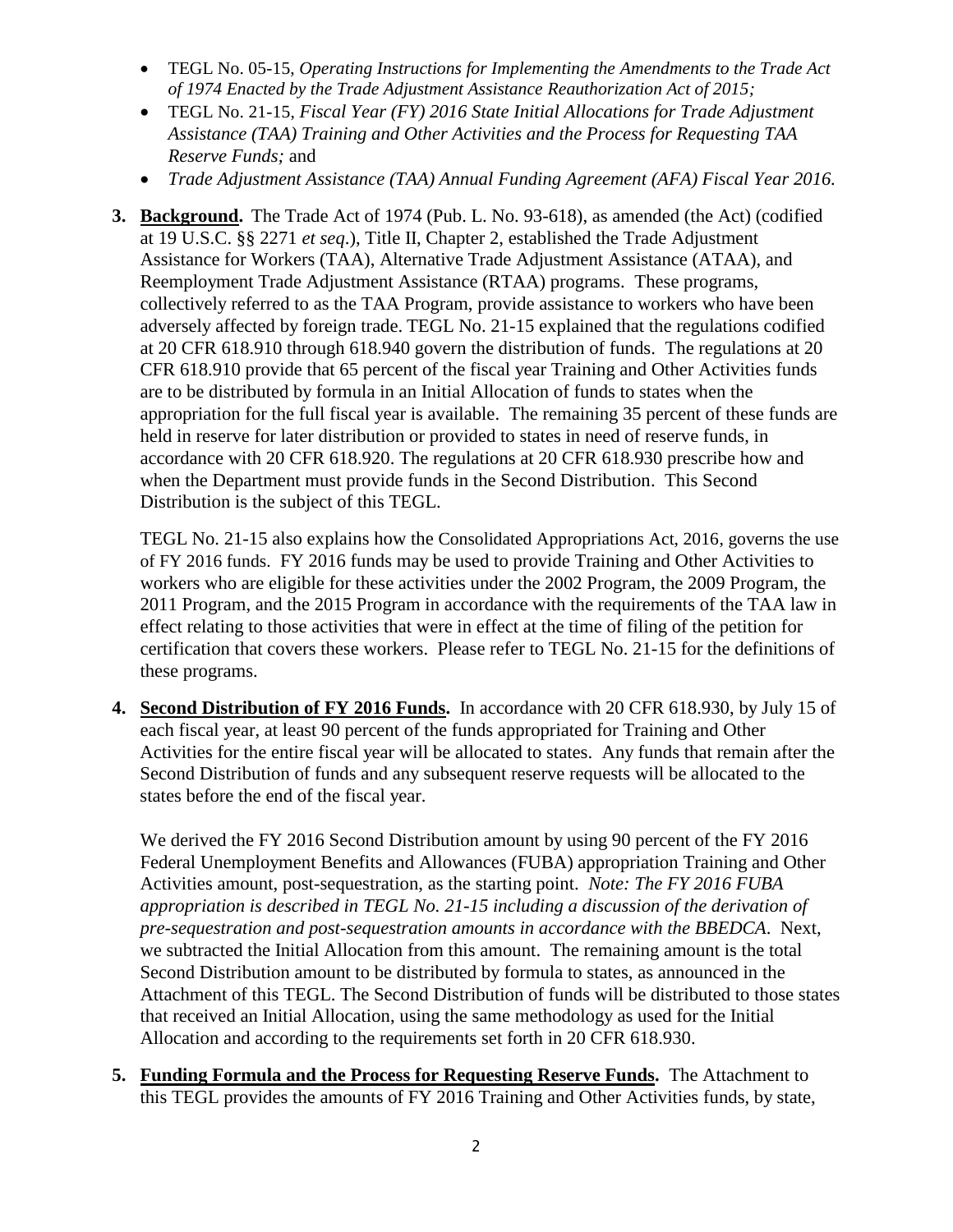- TEGL No. 05-15, *Operating Instructions for Implementing the Amendments to the Trade Act of 1974 Enacted by the Trade Adjustment Assistance Reauthorization Act of 2015;*
- TEGL No. 21-15, *Fiscal Year (FY) 2016 State Initial Allocations for Trade Adjustment Assistance (TAA) Training and Other Activities and the Process for Requesting TAA Reserve Funds;* and
- *Trade Adjustment Assistance (TAA) Annual Funding Agreement (AFA) Fiscal Year 2016.*
- **3. Background.** The Trade Act of 1974 (Pub. L. No. 93-618), as amended (the Act) (codified at 19 U.S.C. §§ 2271 *et seq*.), Title II, Chapter 2, established the Trade Adjustment Assistance for Workers (TAA), Alternative Trade Adjustment Assistance (ATAA), and Reemployment Trade Adjustment Assistance (RTAA) programs. These programs, collectively referred to as the TAA Program, provide assistance to workers who have been adversely affected by foreign trade. TEGL No. 21-15 explained that the regulations codified at 20 CFR 618.910 through 618.940 govern the distribution of funds. The regulations at 20 CFR 618.910 provide that 65 percent of the fiscal year Training and Other Activities funds are to be distributed by formula in an Initial Allocation of funds to states when the appropriation for the full fiscal year is available. The remaining 35 percent of these funds are held in reserve for later distribution or provided to states in need of reserve funds, in accordance with 20 CFR 618.920. The regulations at 20 CFR 618.930 prescribe how and when the Department must provide funds in the Second Distribution. This Second Distribution is the subject of this TEGL.

TEGL No. 21-15 also explains how the Consolidated Appropriations Act, 2016, governs the use of FY 2016 funds. FY 2016 funds may be used to provide Training and Other Activities to workers who are eligible for these activities under the 2002 Program, the 2009 Program, the 2011 Program, and the 2015 Program in accordance with the requirements of the TAA law in effect relating to those activities that were in effect at the time of filing of the petition for certification that covers these workers. Please refer to TEGL No. 21-15 for the definitions of these programs.

**4. Second Distribution of FY 2016 Funds.** In accordance with 20 CFR 618.930, by July 15 of each fiscal year, at least 90 percent of the funds appropriated for Training and Other Activities for the entire fiscal year will be allocated to states. Any funds that remain after the Second Distribution of funds and any subsequent reserve requests will be allocated to the states before the end of the fiscal year.

We derived the FY 2016 Second Distribution amount by using 90 percent of the FY 2016 Federal Unemployment Benefits and Allowances (FUBA) appropriation Training and Other Activities amount, post-sequestration, as the starting point. *Note: The FY 2016 FUBA appropriation is described in TEGL No. 21-15 including a discussion of the derivation of pre-sequestration and post-sequestration amounts in accordance with the BBEDCA*. Next, we subtracted the Initial Allocation from this amount. The remaining amount is the total Second Distribution amount to be distributed by formula to states, as announced in the Attachment of this TEGL. The Second Distribution of funds will be distributed to those states that received an Initial Allocation, using the same methodology as used for the Initial Allocation and according to the requirements set forth in 20 CFR 618.930.

**5. Funding Formula and the Process for Requesting Reserve Funds.** The Attachment to this TEGL provides the amounts of FY 2016 Training and Other Activities funds, by state,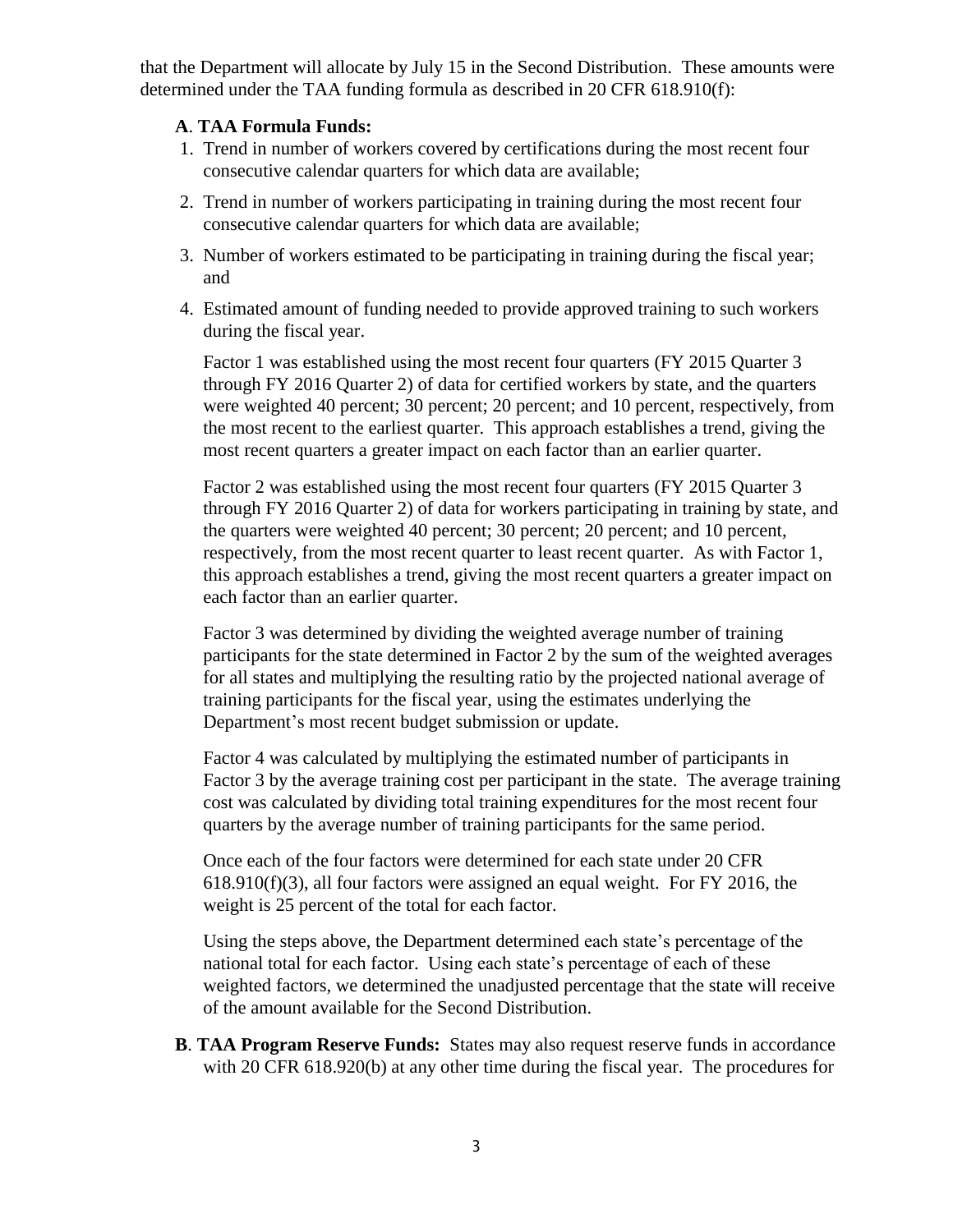that the Department will allocate by July 15 in the Second Distribution. These amounts were determined under the TAA funding formula as described in 20 CFR 618.910(f):

## **A**. **TAA Formula Funds:**

- 1. Trend in number of workers covered by certifications during the most recent four consecutive calendar quarters for which data are available;
- 2. Trend in number of workers participating in training during the most recent four consecutive calendar quarters for which data are available;
- 3. Number of workers estimated to be participating in training during the fiscal year; and
- 4. Estimated amount of funding needed to provide approved training to such workers during the fiscal year.

Factor 1 was established using the most recent four quarters (FY 2015 Quarter 3 through FY 2016 Quarter 2) of data for certified workers by state, and the quarters were weighted 40 percent; 30 percent; 20 percent; and 10 percent, respectively, from the most recent to the earliest quarter. This approach establishes a trend, giving the most recent quarters a greater impact on each factor than an earlier quarter.

Factor 2 was established using the most recent four quarters (FY 2015 Quarter 3 through FY 2016 Quarter 2) of data for workers participating in training by state, and the quarters were weighted 40 percent; 30 percent; 20 percent; and 10 percent, respectively, from the most recent quarter to least recent quarter. As with Factor 1, this approach establishes a trend, giving the most recent quarters a greater impact on each factor than an earlier quarter.

Factor 3 was determined by dividing the weighted average number of training participants for the state determined in Factor 2 by the sum of the weighted averages for all states and multiplying the resulting ratio by the projected national average of training participants for the fiscal year, using the estimates underlying the Department's most recent budget submission or update.

Factor 4 was calculated by multiplying the estimated number of participants in Factor 3 by the average training cost per participant in the state. The average training cost was calculated by dividing total training expenditures for the most recent four quarters by the average number of training participants for the same period.

Once each of the four factors were determined for each state under 20 CFR 618.910(f)(3), all four factors were assigned an equal weight. For FY 2016, the weight is 25 percent of the total for each factor.

Using the steps above, the Department determined each state's percentage of the national total for each factor. Using each state's percentage of each of these weighted factors, we determined the unadjusted percentage that the state will receive of the amount available for the Second Distribution.

**B**. **TAA Program Reserve Funds:** States may also request reserve funds in accordance with 20 CFR 618.920(b) at any other time during the fiscal year. The procedures for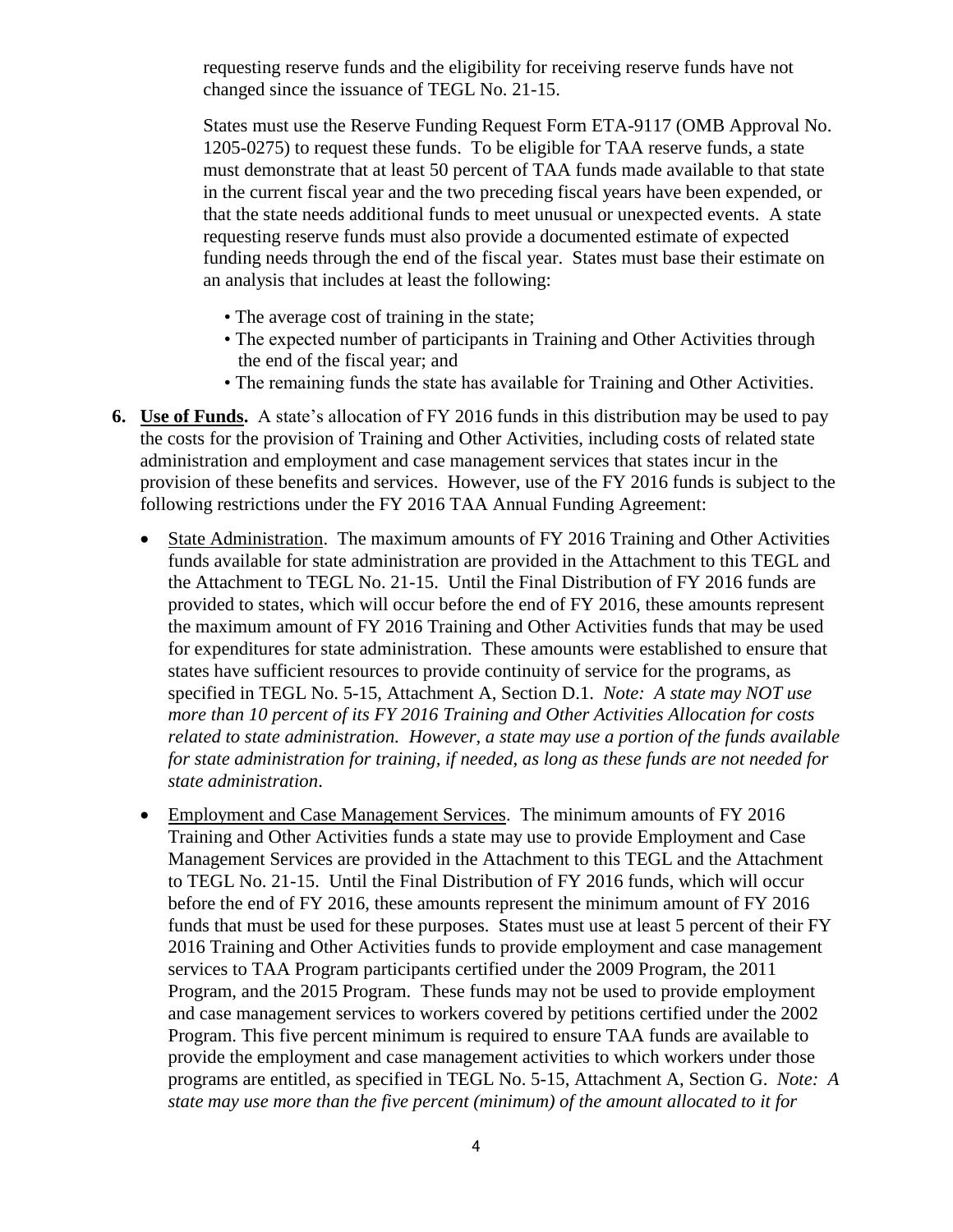requesting reserve funds and the eligibility for receiving reserve funds have not changed since the issuance of TEGL No. 21-15.

States must use the Reserve Funding Request Form ETA-9117 (OMB Approval No. 1205-0275) to request these funds. To be eligible for TAA reserve funds, a state must demonstrate that at least 50 percent of TAA funds made available to that state in the current fiscal year and the two preceding fiscal years have been expended, or that the state needs additional funds to meet unusual or unexpected events. A state requesting reserve funds must also provide a documented estimate of expected funding needs through the end of the fiscal year. States must base their estimate on an analysis that includes at least the following:

- The average cost of training in the state;
- The expected number of participants in Training and Other Activities through the end of the fiscal year; and
- The remaining funds the state has available for Training and Other Activities.
- **6. Use of Funds.** A state's allocation of FY 2016 funds in this distribution may be used to pay the costs for the provision of Training and Other Activities, including costs of related state administration and employment and case management services that states incur in the provision of these benefits and services. However, use of the FY 2016 funds is subject to the following restrictions under the FY 2016 TAA Annual Funding Agreement:
	- State Administration. The maximum amounts of FY 2016 Training and Other Activities funds available for state administration are provided in the Attachment to this TEGL and the Attachment to TEGL No. 21-15. Until the Final Distribution of FY 2016 funds are provided to states, which will occur before the end of FY 2016, these amounts represent the maximum amount of FY 2016 Training and Other Activities funds that may be used for expenditures for state administration. These amounts were established to ensure that states have sufficient resources to provide continuity of service for the programs, as specified in TEGL No. 5-15, Attachment A, Section D.1. *Note: A state may NOT use more than 10 percent of its FY 2016 Training and Other Activities Allocation for costs related to state administration. However, a state may use a portion of the funds available for state administration for training, if needed, as long as these funds are not needed for state administration*.
	- Employment and Case Management Services. The minimum amounts of FY 2016 Training and Other Activities funds a state may use to provide Employment and Case Management Services are provided in the Attachment to this TEGL and the Attachment to TEGL No. 21-15. Until the Final Distribution of FY 2016 funds, which will occur before the end of FY 2016, these amounts represent the minimum amount of FY 2016 funds that must be used for these purposes. States must use at least 5 percent of their FY 2016 Training and Other Activities funds to provide employment and case management services to TAA Program participants certified under the 2009 Program, the 2011 Program, and the 2015 Program. These funds may not be used to provide employment and case management services to workers covered by petitions certified under the 2002 Program. This five percent minimum is required to ensure TAA funds are available to provide the employment and case management activities to which workers under those programs are entitled, as specified in TEGL No. 5-15, Attachment A, Section G. *Note: A state may use more than the five percent (minimum) of the amount allocated to it for*